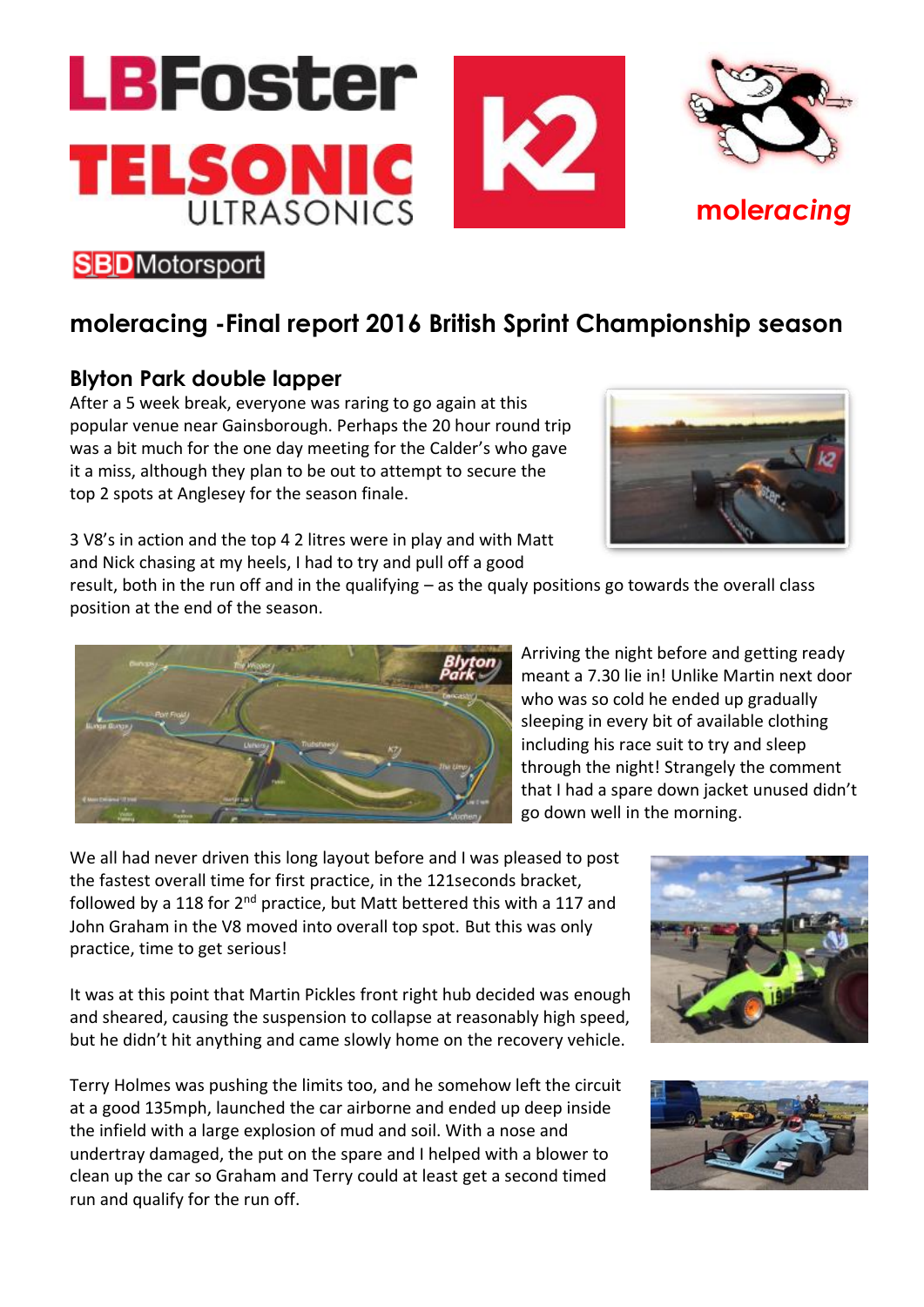

## **SBD**Motorsport

## **moleracing -Final report 2016 British Sprint Championship season**

## **Blyton Park double lapper**

After a 5 week break, everyone was raring to go again at this popular venue near Gainsborough. Perhaps the 20 hour round trip was a bit much for the one day meeting for the Calder's who gave it a miss, although they plan to be out to attempt to secure the top 2 spots at Anglesey for the season finale.

3 V8's in action and the top 4 2 litres were in play and with Matt and Nick chasing at my heels, I had to try and pull off a good

result, both in the run off and in the qualifying – as the qualy positions go towards the overall class position at the end of the season.



Arriving the night before and getting ready meant a 7.30 lie in! Unlike Martin next door who was so cold he ended up gradually sleeping in every bit of available clothing including his race suit to try and sleep through the night! Strangely the comment that I had a spare down jacket unused didn't go down well in the morning.

We all had never driven this long layout before and I was pleased to post the fastest overall time for first practice, in the 121seconds bracket, followed by a 118 for  $2^{nd}$  practice, but Matt bettered this with a 117 and John Graham in the V8 moved into overall top spot. But this was only practice, time to get serious!

It was at this point that Martin Pickles front right hub decided was enough and sheared, causing the suspension to collapse at reasonably high speed, but he didn't hit anything and came slowly home on the recovery vehicle.

Terry Holmes was pushing the limits too, and he somehow left the circuit at a good 135mph, launched the car airborne and ended up deep inside the infield with a large explosion of mud and soil. With a nose and undertray damaged, the put on the spare and I helped with a blower to clean up the car so Graham and Terry could at least get a second timed run and qualify for the run off.





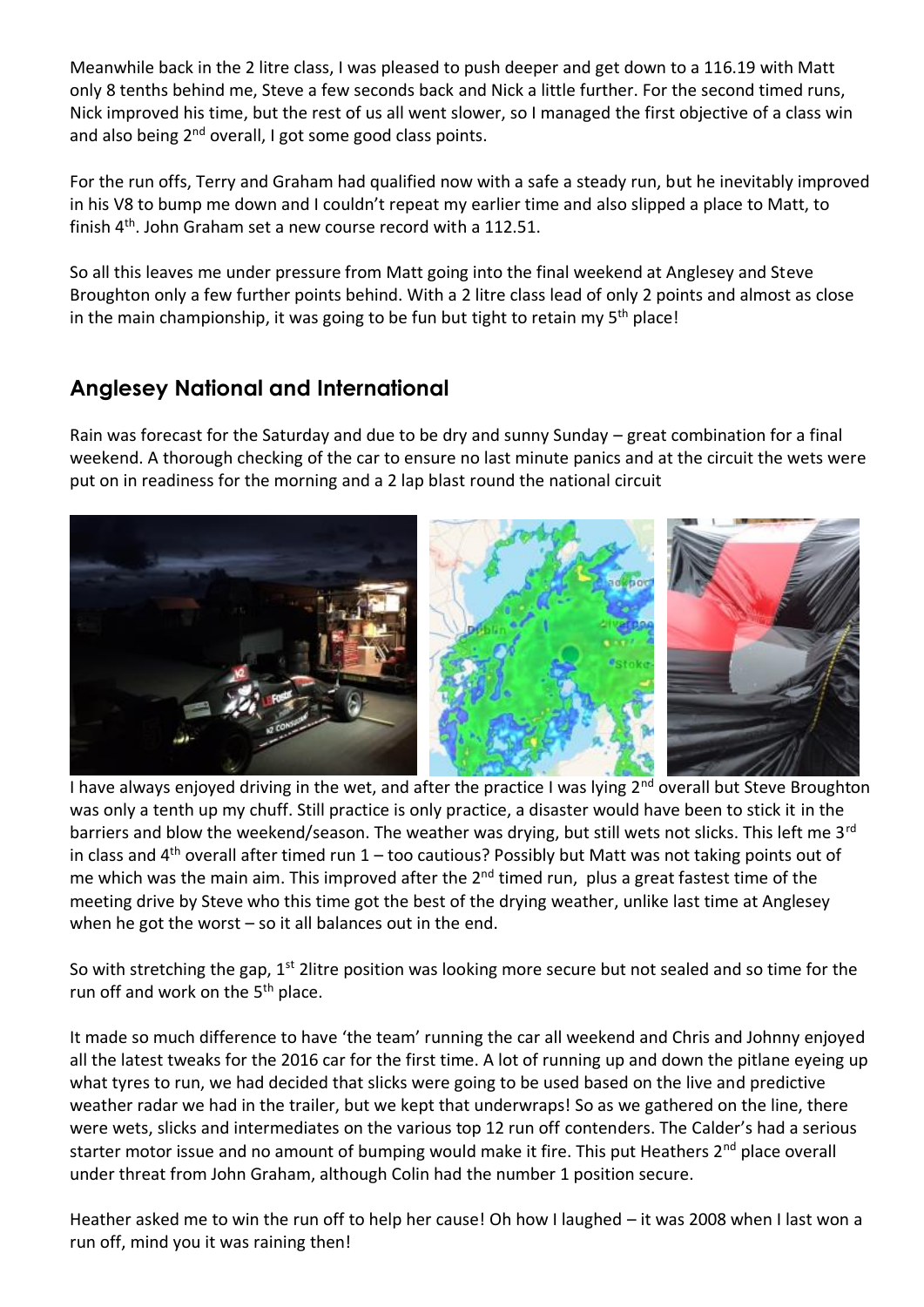Meanwhile back in the 2 litre class, I was pleased to push deeper and get down to a 116.19 with Matt only 8 tenths behind me, Steve a few seconds back and Nick a little further. For the second timed runs, Nick improved his time, but the rest of us all went slower, so I managed the first objective of a class win and also being 2<sup>nd</sup> overall, I got some good class points.

For the run offs, Terry and Graham had qualified now with a safe a steady run, but he inevitably improved in his V8 to bump me down and I couldn't repeat my earlier time and also slipped a place to Matt, to finish 4<sup>th</sup>. John Graham set a new course record with a 112.51.

So all this leaves me under pressure from Matt going into the final weekend at Anglesey and Steve Broughton only a few further points behind. With a 2 litre class lead of only 2 points and almost as close in the main championship, it was going to be fun but tight to retain my 5<sup>th</sup> place!

## **Anglesey National and International**

Rain was forecast for the Saturday and due to be dry and sunny Sunday – great combination for a final weekend. A thorough checking of the car to ensure no last minute panics and at the circuit the wets were put on in readiness for the morning and a 2 lap blast round the national circuit



I have always enjoyed driving in the wet, and after the practice I was lying 2<sup>nd</sup> overall but Steve Broughton was only a tenth up my chuff. Still practice is only practice, a disaster would have been to stick it in the barriers and blow the weekend/season. The weather was drying, but still wets not slicks. This left me 3<sup>rd</sup> in class and 4<sup>th</sup> overall after timed run 1 – too cautious? Possibly but Matt was not taking points out of me which was the main aim. This improved after the  $2<sup>nd</sup>$  timed run, plus a great fastest time of the meeting drive by Steve who this time got the best of the drying weather, unlike last time at Anglesey when he got the worst – so it all balances out in the end.

So with stretching the gap, 1<sup>st</sup> 2litre position was looking more secure but not sealed and so time for the run off and work on the 5<sup>th</sup> place.

It made so much difference to have 'the team' running the car all weekend and Chris and Johnny enjoyed all the latest tweaks for the 2016 car for the first time. A lot of running up and down the pitlane eyeing up what tyres to run, we had decided that slicks were going to be used based on the live and predictive weather radar we had in the trailer, but we kept that underwraps! So as we gathered on the line, there were wets, slicks and intermediates on the various top 12 run off contenders. The Calder's had a serious starter motor issue and no amount of bumping would make it fire. This put Heathers 2<sup>nd</sup> place overall under threat from John Graham, although Colin had the number 1 position secure.

Heather asked me to win the run off to help her cause! Oh how I laughed – it was 2008 when I last won a run off, mind you it was raining then!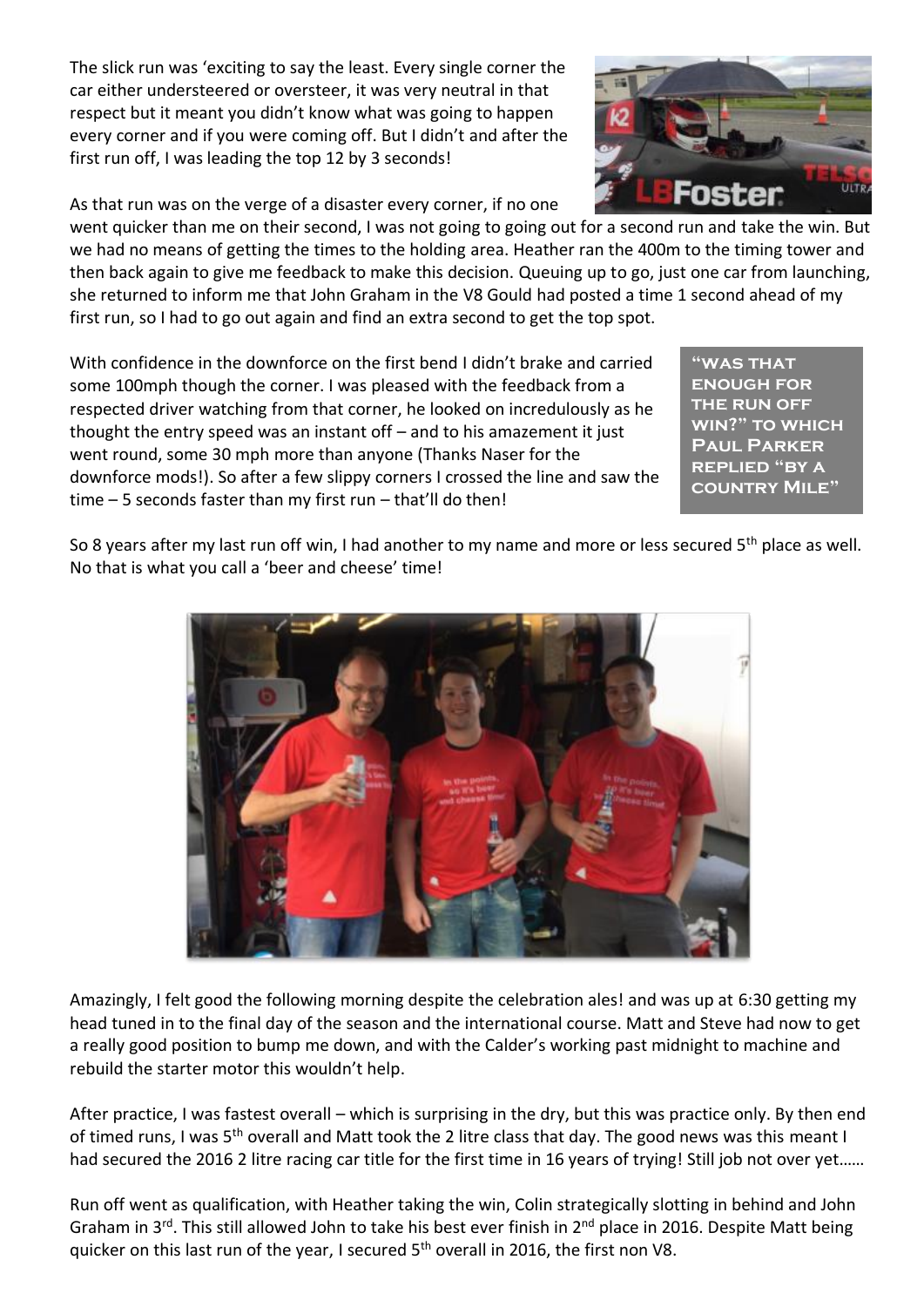The slick run was 'exciting to say the least. Every single corner the car either understeered or oversteer, it was very neutral in that respect but it meant you didn't know what was going to happen every corner and if you were coming off. But I didn't and after the first run off, I was leading the top 12 by 3 seconds!

As that run was on the verge of a disaster every corner, if no one

went quicker than me on their second, I was not going to going out for a second run and take the win. But we had no means of getting the times to the holding area. Heather ran the 400m to the timing tower and then back again to give me feedback to make this decision. Queuing up to go, just one car from launching, she returned to inform me that John Graham in the V8 Gould had posted a time 1 second ahead of my first run, so I had to go out again and find an extra second to get the top spot.

With confidence in the downforce on the first bend I didn't brake and carried some 100mph though the corner. I was pleased with the feedback from a respected driver watching from that corner, he looked on incredulously as he thought the entry speed was an instant off – and to his amazement it just went round, some 30 mph more than anyone (Thanks Naser for the downforce mods!). So after a few slippy corners I crossed the line and saw the time – 5 seconds faster than my first run – that'll do then!

**"was that enough for the run off win?" to which Paul Parker replied "by a country Mile"**

So 8 years after my last run off win, I had another to my name and more or less secured 5<sup>th</sup> place as well. No that is what you call a 'beer and cheese' time!



Amazingly, I felt good the following morning despite the celebration ales! and was up at 6:30 getting my head tuned in to the final day of the season and the international course. Matt and Steve had now to get a really good position to bump me down, and with the Calder's working past midnight to machine and rebuild the starter motor this wouldn't help.

After practice, I was fastest overall – which is surprising in the dry, but this was practice only. By then end of timed runs, I was 5<sup>th</sup> overall and Matt took the 2 litre class that day. The good news was this meant I had secured the 2016 2 litre racing car title for the first time in 16 years of trying! Still job not over yet......

Run off went as qualification, with Heather taking the win, Colin strategically slotting in behind and John Graham in 3<sup>rd</sup>. This still allowed John to take his best ever finish in 2<sup>nd</sup> place in 2016. Despite Matt being quicker on this last run of the year, I secured 5<sup>th</sup> overall in 2016, the first non V8.